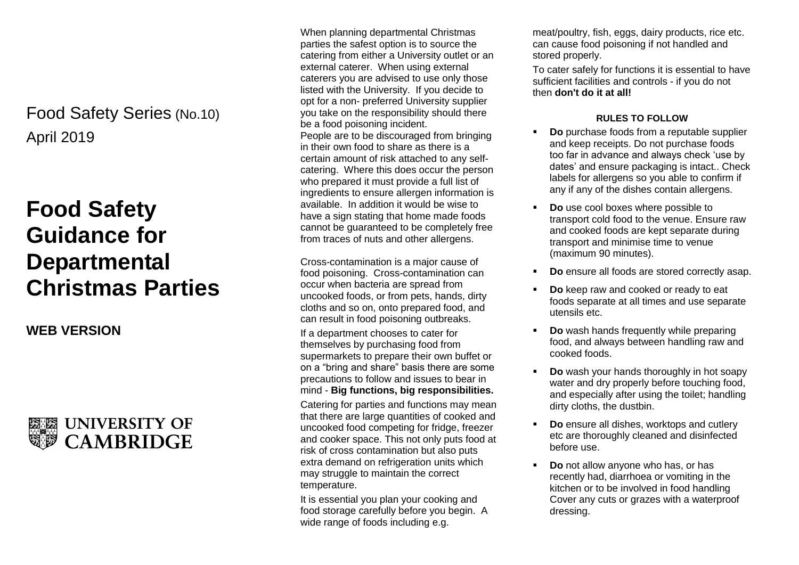## April 2019 Food Safety Series (No.10)

# **Food Safety Guidance for Departmental Christmas Parties**

### **WEB VERSION**



When planning departmental Christmas parties the safest option is to source the catering from either a University outlet or an external caterer. When using external caterers you are advised to use only those listed with the University. If you decide to opt for a non- preferred University supplier you take on the responsibility should there be a food poisoning incident. People are to be discouraged from bringing in their own food to share as there is a certain amount of risk attached to any selfcatering. Where this does occur the person who prepared it must provide a full list of ingredients to ensure allergen information is available. In addition it would be wise to have a sign stating that home made foods cannot be guaranteed to be completely free from traces of nuts and other allergens.

Cross-contamination is a major cause of food poisoning. Cross-contamination can occur when bacteria are spread from uncooked foods, or from pets, hands, dirty cloths and so on, onto prepared food, and can result in food poisoning outbreaks.

If a department chooses to cater for themselves by purchasing food from supermarkets to prepare their own buffet or on a "bring and share" basis there are some precautions to follow and issues to bear in mind - **Big functions, big responsibilities.**

Catering for parties and functions may mean that there are large quantities of cooked and uncooked food competing for fridge, freezer and cooker space. This not only puts food at risk of cross contamination but also puts extra demand on refrigeration units which may struggle to maintain the correct temperature.

It is essential you plan your cooking and food storage carefully before you begin. A wide range of foods including e.g.

meat/poultry, fish, eggs, dairy products, rice etc. can cause food poisoning if not handled and stored properly.

To cater safely for functions it is essential to have sufficient facilities and controls - if you do not then **don't do it at all!**

#### **RULES TO FOLLOW**

- **Do** purchase foods from a reputable supplier and keep receipts. Do not purchase foods too far in advance and always check 'use by dates' and ensure packaging is intact.. Check labels for allergens so you able to confirm if any if any of the dishes contain allergens.
- **Do** use cool boxes where possible to transport cold food to the venue. Ensure raw and cooked foods are kept separate during transport and minimise time to venue (maximum 90 minutes).
- **Do** ensure all foods are stored correctly asap.
- **Do** keep raw and cooked or ready to eat foods separate at all times and use separate utensils etc.
- **Do** wash hands frequently while preparing food, and always between handling raw and cooked foods.
- **Do** wash your hands thoroughly in hot soapy water and dry properly before touching food, and especially after using the toilet; handling dirty cloths, the dustbin.
- **Do** ensure all dishes, worktops and cutlery etc are thoroughly cleaned and disinfected before use.
- **Do** not allow anyone who has, or has recently had, diarrhoea or vomiting in the kitchen or to be involved in food handling Cover any cuts or grazes with a waterproof dressing.